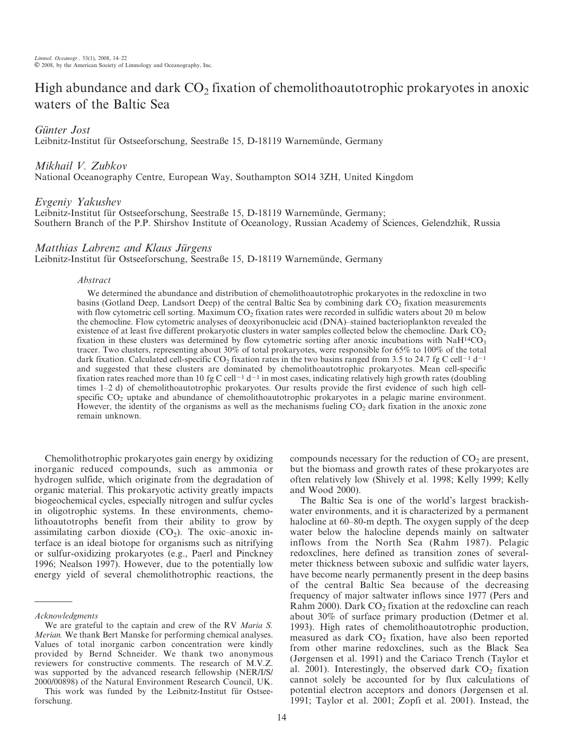# High abundance and dark  $CO<sub>2</sub>$  fixation of chemolithoautotrophic prokaryotes in anoxic waters of the Baltic Sea

Günter Jost

Leibnitz-Institut für Ostseeforschung, Seestraße 15, D-18119 Warnemünde, Germany

Mikhail V. Zubkov

National Oceanography Centre, European Way, Southampton SO14 3ZH, United Kingdom

# Evgeniy Yakushev

Leibnitz-Institut für Ostseeforschung, Seestraße 15, D-18119 Warnemünde, Germany; Southern Branch of the P.P. Shirshov Institute of Oceanology, Russian Academy of Sciences, Gelendzhik, Russia

# Matthias Labrenz and Klaus Jürgens

Leibnitz-Institut für Ostseeforschung, Seestraße 15, D-18119 Warnemünde, Germany

## Abstract

We determined the abundance and distribution of chemolithoautotrophic prokaryotes in the redoxcline in two basins (Gotland Deep, Landsort Deep) of the central Baltic Sea by combining dark CO<sub>2</sub> fixation measurements with flow cytometric cell sorting. Maximum  $CO<sub>2</sub>$  fixation rates were recorded in sulfidic waters about 20 m below the chemocline. Flow cytometric analyses of deoxyribonucleic acid (DNA)–stained bacterioplankton revealed the existence of at least five different prokaryotic clusters in water samples collected below the chemocline. Dark CO<sub>2</sub> fixation in these clusters was determined by flow cytometric sorting after anoxic incubations with NaH<sup>14</sup>CO<sub>3</sub> tracer. Two clusters, representing about 30% of total prokaryotes, were responsible for 65% to 100% of the total dark fixation. Calculated cell-specific CO<sub>2</sub> fixation rates in the two basins ranged from 3.5 to 24.7 fg C cell<sup>-1</sup> d<sup>-1</sup> and suggested that these clusters are dominated by chemolithoautotrophic prokaryotes. Mean cell-specific fixation rates reached more than 10 fg C cell<sup>-1</sup> d<sup>-1</sup> in most cases, indicating relatively high growth rates (doubling times 1–2 d) of chemolithoautotrophic prokaryotes. Our results provide the first evidence of such high cellspecific CO<sub>2</sub> uptake and abundance of chemolithoautotrophic prokaryotes in a pelagic marine environment. However, the identity of the organisms as well as the mechanisms fueling  $CO<sub>2</sub>$  dark fixation in the anoxic zone remain unknown.

Chemolithotrophic prokaryotes gain energy by oxidizing inorganic reduced compounds, such as ammonia or hydrogen sulfide, which originate from the degradation of organic material. This prokaryotic activity greatly impacts biogeochemical cycles, especially nitrogen and sulfur cycles in oligotrophic systems. In these environments, chemolithoautotrophs benefit from their ability to grow by assimilating carbon dioxide  $(CO<sub>2</sub>)$ . The oxic–anoxic interface is an ideal biotope for organisms such as nitrifying or sulfur-oxidizing prokaryotes (e.g., Paerl and Pinckney 1996; Nealson 1997). However, due to the potentially low energy yield of several chemolithotrophic reactions, the compounds necessary for the reduction of  $CO<sub>2</sub>$  are present, but the biomass and growth rates of these prokaryotes are often relatively low (Shively et al. 1998; Kelly 1999; Kelly and Wood 2000).

The Baltic Sea is one of the world's largest brackishwater environments, and it is characterized by a permanent halocline at  $60-80$ -m depth. The oxygen supply of the deep water below the halocline depends mainly on saltwater inflows from the North Sea (Rahm 1987). Pelagic redoxclines, here defined as transition zones of severalmeter thickness between suboxic and sulfidic water layers, have become nearly permanently present in the deep basins of the central Baltic Sea because of the decreasing frequency of major saltwater inflows since 1977 (Pers and Rahm 2000). Dark  $CO<sub>2</sub>$  fixation at the redoxcline can reach about 30% of surface primary production (Detmer et al. 1993). High rates of chemolithoautotrophic production, measured as dark  $CO<sub>2</sub>$  fixation, have also been reported from other marine redoxclines, such as the Black Sea (Jørgensen et al. 1991) and the Cariaco Trench (Taylor et al. 2001). Interestingly, the observed dark  $CO<sub>2</sub>$  fixation cannot solely be accounted for by flux calculations of potential electron acceptors and donors (Jørgensen et al. 1991; Taylor et al. 2001; Zopfi et al. 2001). Instead, the

Acknowledgments

We are grateful to the captain and crew of the RV Maria S. Merian. We thank Bert Manske for performing chemical analyses. Values of total inorganic carbon concentration were kindly provided by Bernd Schneider. We thank two anonymous reviewers for constructive comments. The research of M.V.Z. was supported by the advanced research fellowship (NER/I/S/ 2000/00898) of the Natural Environment Research Council, UK.

This work was funded by the Leibnitz-Institut für Ostseeforschung.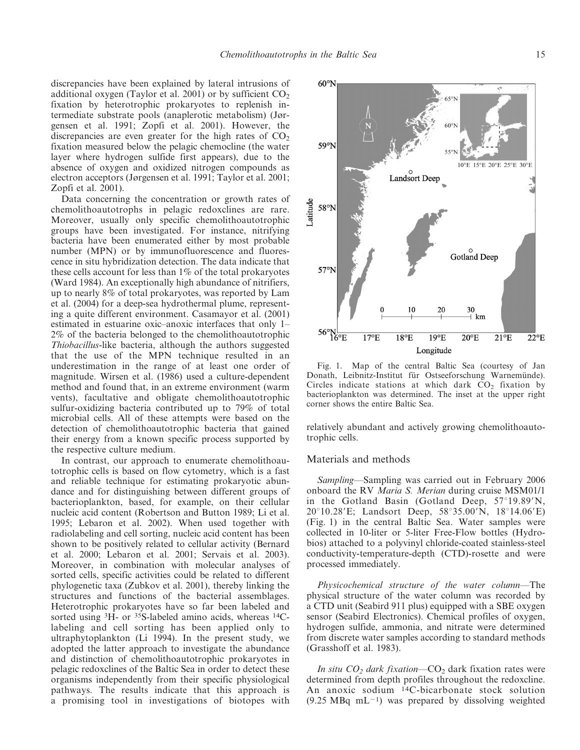discrepancies have been explained by lateral intrusions of additional oxygen (Taylor et al. 2001) or by sufficient  $CO<sub>2</sub>$ fixation by heterotrophic prokaryotes to replenish intermediate substrate pools (anaplerotic metabolism) (Jørgensen et al. 1991; Zopfi et al. 2001). However, the discrepancies are even greater for the high rates of  $CO<sub>2</sub>$ fixation measured below the pelagic chemocline (the water layer where hydrogen sulfide first appears), due to the absence of oxygen and oxidized nitrogen compounds as electron acceptors (Jørgensen et al. 1991; Taylor et al. 2001; Zopfi et al. 2001).

Data concerning the concentration or growth rates of chemolithoautotrophs in pelagic redoxclines are rare. Moreover, usually only specific chemolithoautotrophic groups have been investigated. For instance, nitrifying bacteria have been enumerated either by most probable number (MPN) or by immunofluorescence and fluorescence in situ hybridization detection. The data indicate that these cells account for less than 1% of the total prokaryotes (Ward 1984). An exceptionally high abundance of nitrifiers, up to nearly 8% of total prokaryotes, was reported by Lam et al. (2004) for a deep-sea hydrothermal plume, representing a quite different environment. Casamayor et al. (2001) estimated in estuarine oxic–anoxic interfaces that only 1– 2% of the bacteria belonged to the chemolithoautotrophic Thiobacillus-like bacteria, although the authors suggested that the use of the MPN technique resulted in an underestimation in the range of at least one order of magnitude. Wirsen et al. (1986) used a culture-dependent method and found that, in an extreme environment (warm vents), facultative and obligate chemolithoautotrophic sulfur-oxidizing bacteria contributed up to 79% of total microbial cells. All of these attempts were based on the detection of chemolithoautotrophic bacteria that gained their energy from a known specific process supported by the respective culture medium.

In contrast, our approach to enumerate chemolithoautotrophic cells is based on flow cytometry, which is a fast and reliable technique for estimating prokaryotic abundance and for distinguishing between different groups of bacterioplankton, based, for example, on their cellular nucleic acid content (Robertson and Button 1989; Li et al. 1995; Lebaron et al. 2002). When used together with radiolabeling and cell sorting, nucleic acid content has been shown to be positively related to cellular activity (Bernard et al. 2000; Lebaron et al. 2001; Servais et al. 2003). Moreover, in combination with molecular analyses of sorted cells, specific activities could be related to different phylogenetic taxa (Zubkov et al. 2001), thereby linking the structures and functions of the bacterial assemblages. Heterotrophic prokaryotes have so far been labeled and sorted using <sup>3</sup>H- or <sup>35</sup>S-labeled amino acids, whereas <sup>14</sup>Clabeling and cell sorting has been applied only to ultraphytoplankton (Li 1994). In the present study, we adopted the latter approach to investigate the abundance and distinction of chemolithoautotrophic prokaryotes in pelagic redoxclines of the Baltic Sea in order to detect these organisms independently from their specific physiological pathways. The results indicate that this approach is a promising tool in investigations of biotopes with



Fig. 1. Map of the central Baltic Sea (courtesy of Jan Donath, Leibnitz-Institut für Ostseeforschung Warnemünde). Circles indicate stations at which dark  $CO<sub>2</sub>$  fixation by bacterioplankton was determined. The inset at the upper right corner shows the entire Baltic Sea.

relatively abundant and actively growing chemolithoautotrophic cells.

## Materials and methods

Sampling—Sampling was carried out in February 2006 onboard the RV Maria S. Merian during cruise MSM01/1 in the Gotland Basin (Gotland Deep, 57°19.89'N,  $20^{\circ}10.28$ 'E; Landsort Deep,  $58^{\circ}35.00$ 'N,  $18^{\circ}14.06$ 'E) (Fig. 1) in the central Baltic Sea. Water samples were collected in 10-liter or 5-liter Free-Flow bottles (Hydrobios) attached to a polyvinyl chloride-coated stainless-steel conductivity-temperature-depth (CTD)-rosette and were processed immediately.

Physicochemical structure of the water column—The physical structure of the water column was recorded by a CTD unit (Seabird 911 plus) equipped with a SBE oxygen sensor (Seabird Electronics). Chemical profiles of oxygen, hydrogen sulfide, ammonia, and nitrate were determined from discrete water samples according to standard methods (Grasshoff et al. 1983).

In situ  $CO<sub>2</sub>$  dark fixation—CO<sub>2</sub> dark fixation rates were determined from depth profiles throughout the redoxcline. An anoxic sodium 14C-bicarbonate stock solution  $(9.25 \text{ MBq} \text{ mL}^{-1})$  was prepared by dissolving weighted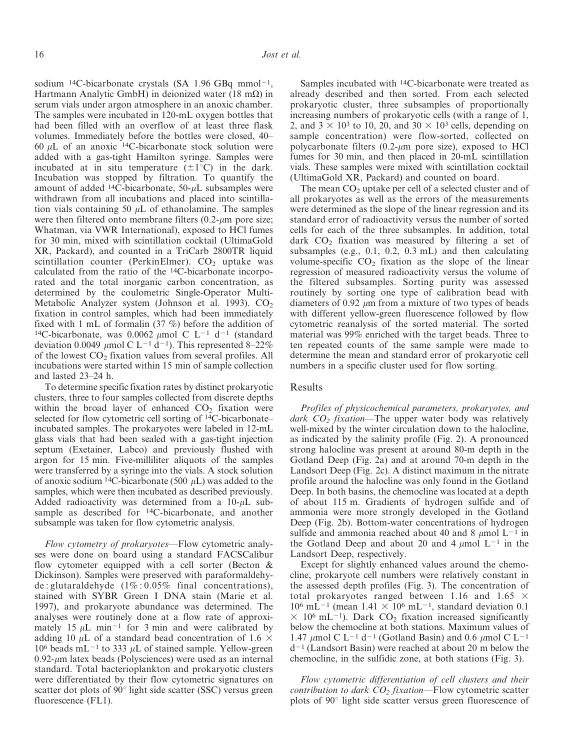sodium <sup>14</sup>C-bicarbonate crystals (SA 1.96 GBq mmol<sup>-1</sup>, Hartmann Analytic GmbH) in deionized water (18 m $\Omega$ ) in serum vials under argon atmosphere in an anoxic chamber. The samples were incubated in 120-mL oxygen bottles that had been filled with an overflow of at least three flask volumes. Immediately before the bottles were closed, 40– 60  $\mu$ L of an anoxic <sup>14</sup>C-bicarbonate stock solution were added with a gas-tight Hamilton syringe. Samples were incubated at in situ temperature  $(\pm 1^{\circ}C)$  in the dark. Incubation was stopped by filtration. To quantify the amount of added  $14C$ -bicarbonate,  $50-\mu L$  subsamples were withdrawn from all incubations and placed into scintillation vials containing 50  $\mu$ L of ethanolamine. The samples were then filtered onto membrane filters  $(0.2-\mu m)$  pore size; Whatman, via VWR International), exposed to HCl fumes for 30 min, mixed with scintillation cocktail (UltimaGold XR, Packard), and counted in a TriCarb 2800TR liquid scintillation counter (PerkinElmer).  $CO<sub>2</sub>$  uptake was calculated from the ratio of the 14C-bicarbonate incorporated and the total inorganic carbon concentration, as determined by the coulometric Single-Operator Multi-Metabolic Analyzer system (Johnson et al. 1993).  $CO<sub>2</sub>$ fixation in control samples, which had been immediately fixed with 1 mL of formalin (37 %) before the addition of <sup>14</sup>C-bicarbonate, was 0.0062  $\mu$ mol C L<sup>-1</sup> d<sup>-1</sup> (standard deviation 0.0049  $\mu$ mol C L<sup>-1</sup> d<sup>-1</sup>). This represented 8–22% of the lowest  $CO<sub>2</sub>$  fixation values from several profiles. All incubations were started within 15 min of sample collection and lasted 23–24 h.

To determine specific fixation rates by distinct prokaryotic clusters, three to four samples collected from discrete depths within the broad layer of enhanced  $CO<sub>2</sub>$  fixation were selected for flow cytometric cell sorting of <sup>14</sup>C-bicarbonate– incubated samples. The prokaryotes were labeled in 12-mL glass vials that had been sealed with a gas-tight injection septum (Exetainer, Labco) and previously flushed with argon for 15 min. Five-milliliter aliquots of the samples were transferred by a syringe into the vials. A stock solution of anoxic sodium <sup>14</sup>C-bicarbonate (500  $\mu$ L) was added to the samples, which were then incubated as described previously. Added radioactivity was determined from a  $10-\mu L$  subsample as described for <sup>14</sup>C-bicarbonate, and another subsample was taken for flow cytometric analysis.

Flow cytometry of prokaryotes—Flow cytometric analyses were done on board using a standard FACSCalibur flow cytometer equipped with a cell sorter (Becton & Dickinson). Samples were preserved with paraformaldehyde: glutaraldehyde  $(1\% : 0.05\%$  final concentrations), stained with SYBR Green I DNA stain (Marie et al. 1997), and prokaryote abundance was determined. The analyses were routinely done at a flow rate of approximately 15  $\mu$ L min<sup>-1</sup> for 3 min and were calibrated by adding 10  $\mu$ L of a standard bead concentration of 1.6  $\times$  $10^6$  beads mL<sup>-1</sup> to 333  $\mu$ L of stained sample. Yellow-green  $0.92$ - $\mu$ m latex beads (Polysciences) were used as an internal standard. Total bacterioplankton and prokaryotic clusters were differentiated by their flow cytometric signatures on scatter dot plots of  $90^\circ$  light side scatter (SSC) versus green fluorescence (FL1).

Samples incubated with 14C-bicarbonate were treated as already described and then sorted. From each selected prokaryotic cluster, three subsamples of proportionally increasing numbers of prokaryotic cells (with a range of 1, 2, and  $3 \times 10^3$  to 10, 20, and  $30 \times 10^3$  cells, depending on sample concentration) were flow-sorted, collected on polycarbonate filters  $(0.2-\mu m)$  pore size), exposed to HCl fumes for 30 min, and then placed in 20-mL scintillation vials. These samples were mixed with scintillation cocktail (UltimaGold XR, Packard) and counted on board.

The mean  $CO<sub>2</sub>$  uptake per cell of a selected cluster and of all prokaryotes as well as the errors of the measurements were determined as the slope of the linear regression and its standard error of radioactivity versus the number of sorted cells for each of the three subsamples. In addition, total dark  $CO<sub>2</sub>$  fixation was measured by filtering a set of subsamples (e.g., 0.1, 0.2, 0.3 mL) and then calculating volume-specific  $CO<sub>2</sub>$  fixation as the slope of the linear regression of measured radioactivity versus the volume of the filtered subsamples. Sorting purity was assessed routinely by sorting one type of calibration bead with diameters of 0.92  $\mu$ m from a mixture of two types of beads with different yellow-green fluorescence followed by flow cytometric reanalysis of the sorted material. The sorted material was 99% enriched with the target beads. Three to ten repeated counts of the same sample were made to determine the mean and standard error of prokaryotic cell numbers in a specific cluster used for flow sorting.

### Results

Profiles of physicochemical parameters, prokaryotes, and dark  $CO<sub>2</sub>$  fixation—The upper water body was relatively well-mixed by the winter circulation down to the halocline, as indicated by the salinity profile (Fig. 2). A pronounced strong halocline was present at around 80-m depth in the Gotland Deep (Fig. 2a) and at around 70-m depth in the Landsort Deep (Fig. 2c). A distinct maximum in the nitrate profile around the halocline was only found in the Gotland Deep. In both basins, the chemocline was located at a depth of about 115 m. Gradients of hydrogen sulfide and of ammonia were more strongly developed in the Gotland Deep (Fig. 2b). Bottom-water concentrations of hydrogen sulfide and ammonia reached about 40 and 8  $\mu$ mol L<sup>-1</sup> in the Gotland Deep and about 20 and 4  $\mu$ mol L<sup>-1</sup> in the Landsort Deep, respectively.

Except for slightly enhanced values around the chemocline, prokaryote cell numbers were relatively constant in the assessed depth profiles (Fig. 3). The concentration of total prokaryotes ranged between 1.16 and 1.65  $\times$  $10^6$  mL<sup>-1</sup> (mean 1.41  $\times$  10<sup>6</sup> mL<sup>-1</sup>, standard deviation 0.1  $\times$  10<sup>6</sup> mL<sup>-1</sup>). Dark CO<sub>2</sub> fixation increased significantly below the chemocline at both stations. Maximum values of 1.47  $\mu$ mol C L<sup>-1</sup> d<sup>-1</sup> (Gotland Basin) and 0.6  $\mu$ mol C L<sup>-1</sup>  $d^{-1}$  (Landsort Basin) were reached at about 20 m below the chemocline, in the sulfidic zone, at both stations (Fig. 3).

Flow cytometric differentiation of cell clusters and their contribution to dark  $CO<sub>2</sub>$  fixation—Flow cytometric scatter plots of  $90^\circ$  light side scatter versus green fluorescence of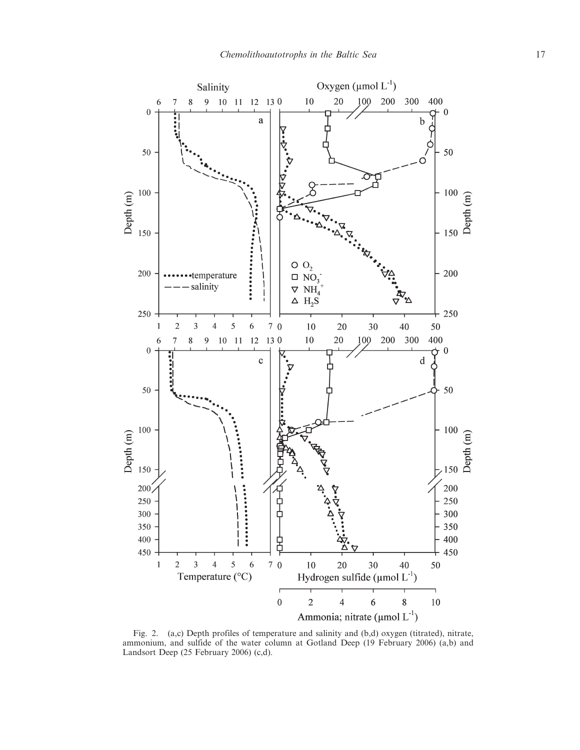

Fig. 2. (a,c) Depth profiles of temperature and salinity and (b,d) oxygen (titrated), nitrate, ammonium, and sulfide of the water column at Gotland Deep (19 February 2006) (a,b) and Landsort Deep (25 February 2006) (c,d).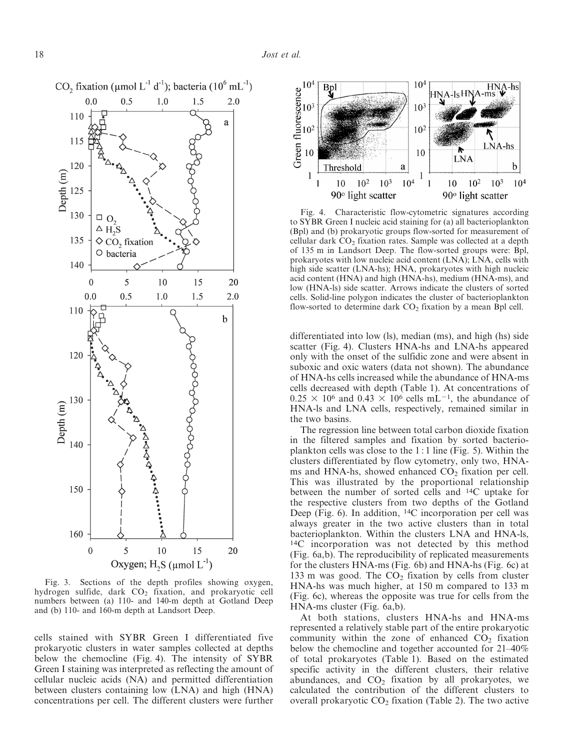

Fig. 3. Sections of the depth profiles showing oxygen, hydrogen sulfide, dark  $CO<sub>2</sub>$  fixation, and prokaryotic cell numbers between (a) 110- and 140-m depth at Gotland Deep and (b) 110- and 160-m depth at Landsort Deep.

cells stained with SYBR Green I differentiated five prokaryotic clusters in water samples collected at depths below the chemocline (Fig. 4). The intensity of SYBR Green I staining was interpreted as reflecting the amount of cellular nucleic acids (NA) and permitted differentiation between clusters containing low (LNA) and high (HNA) concentrations per cell. The different clusters were further



Fig. 4. Characteristic flow-cytometric signatures according to SYBR Green I nucleic acid staining for (a) all bacterioplankton (Bpl) and (b) prokaryotic groups flow-sorted for measurement of cellular dark  $CO<sub>2</sub>$  fixation rates. Sample was collected at a depth of 135 m in Landsort Deep. The flow-sorted groups were: Bpl, prokaryotes with low nucleic acid content (LNA); LNA, cells with high side scatter (LNA-hs); HNA, prokaryotes with high nucleic acid content (HNA) and high (HNA-hs), medium (HNA-ms), and low (HNA-ls) side scatter. Arrows indicate the clusters of sorted cells. Solid-line polygon indicates the cluster of bacterioplankton flow-sorted to determine dark  $CO<sub>2</sub>$  fixation by a mean Bpl cell.

differentiated into low (ls), median (ms), and high (hs) side scatter (Fig. 4). Clusters HNA-hs and LNA-hs appeared only with the onset of the sulfidic zone and were absent in suboxic and oxic waters (data not shown). The abundance of HNA-hs cells increased while the abundance of HNA-ms cells decreased with depth (Table 1). At concentrations of  $0.25 \times 10^6$  and  $0.43 \times 10^6$  cells mL<sup>-1</sup>, the abundance of HNA-ls and LNA cells, respectively, remained similar in the two basins.

The regression line between total carbon dioxide fixation in the filtered samples and fixation by sorted bacterioplankton cells was close to the 1 : 1 line (Fig. 5). Within the clusters differentiated by flow cytometry, only two, HNAms and HNA-hs, showed enhanced  $CO<sub>2</sub>$  fixation per cell. This was illustrated by the proportional relationship between the number of sorted cells and 14C uptake for the respective clusters from two depths of the Gotland Deep (Fig. 6). In addition, 14C incorporation per cell was always greater in the two active clusters than in total bacterioplankton. Within the clusters LNA and HNA-ls, 14C incorporation was not detected by this method (Fig. 6a,b). The reproducibility of replicated measurements for the clusters HNA-ms (Fig. 6b) and HNA-hs (Fig. 6c) at 133 m was good. The  $CO<sub>2</sub>$  fixation by cells from cluster HNA-hs was much higher, at 150 m compared to 133 m (Fig. 6c), whereas the opposite was true for cells from the HNA-ms cluster (Fig. 6a,b).

At both stations, clusters HNA-hs and HNA-ms represented a relatively stable part of the entire prokaryotic community within the zone of enhanced  $CO<sub>2</sub>$  fixation below the chemocline and together accounted for 21–40% of total prokaryotes (Table 1). Based on the estimated specific activity in the different clusters, their relative abundances, and  $CO<sub>2</sub>$  fixation by all prokaryotes, we calculated the contribution of the different clusters to overall prokaryotic  $CO<sub>2</sub>$  fixation (Table 2). The two active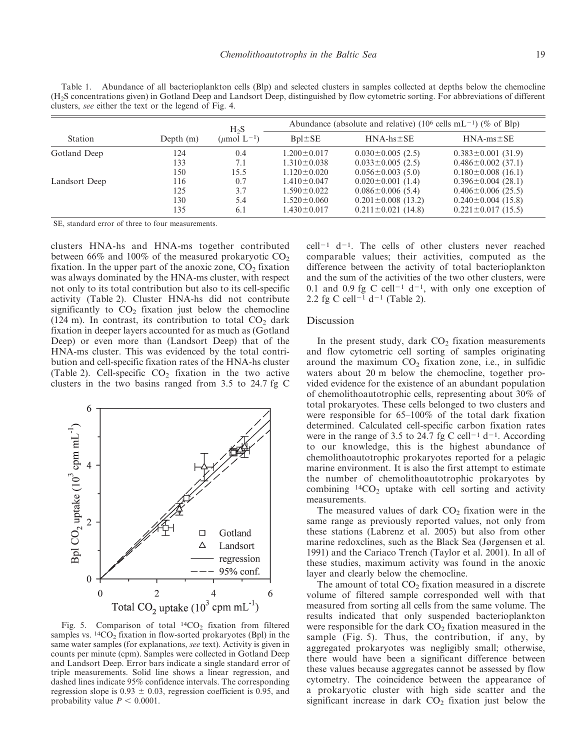Table 1. Abundance of all bacterioplankton cells (Blp) and selected clusters in samples collected at depths below the chemocline (H2S concentrations given) in Gotland Deep and Landsort Deep, distinguished by flow cytometric sorting. For abbreviations of different clusters, see either the text or the legend of Fig. 4.

|               |             | $H_2S$                        | Abundance (absolute and relative) (10 <sup>6</sup> cells mL <sup>-1</sup> ) (% of Blp) |                          |                          |  |
|---------------|-------------|-------------------------------|----------------------------------------------------------------------------------------|--------------------------|--------------------------|--|
| Station       | Depth $(m)$ | ( $\mu$ mol L <sup>-1</sup> ) | $Bpl \pm SE$                                                                           | $HNA-hs \pm SE$          | $HNA-ms \pm SE$          |  |
| Gotland Deep  | 124         | 0.4                           | $1.200 \pm 0.017$                                                                      | $0.030 \pm 0.005$ (2.5)  | $0.383 \pm 0.001$ (31.9) |  |
|               | 133         | 7.1                           | $1.310 \pm 0.038$                                                                      | $0.033 \pm 0.005$ (2.5)  | $0.486 \pm 0.002$ (37.1) |  |
|               | 150         | 15.5                          | $1.120 \pm 0.020$                                                                      | $0.056 \pm 0.003$ (5.0)  | $0.180 \pm 0.008$ (16.1) |  |
| Landsort Deep | 116         | 0.7                           | $1.410 \pm 0.047$                                                                      | $0.020 \pm 0.001$ (1.4)  | $0.396 \pm 0.004$ (28.1) |  |
|               | 125         | 3.7                           | $1.590 \pm 0.022$                                                                      | $0.086 \pm 0.006$ (5.4)  | $0.406 \pm 0.006$ (25.5) |  |
|               | 130         | 5.4                           | $1.520 \pm 0.060$                                                                      | $0.201 \pm 0.008$ (13.2) | $0.240 \pm 0.004$ (15.8) |  |
|               | 135         | 6.1                           | $1.430 \pm 0.017$                                                                      | $0.211 \pm 0.021$ (14.8) | $0.221 \pm 0.017$ (15.5) |  |

SE, standard error of three to four measurements.

clusters HNA-hs and HNA-ms together contributed between 66% and 100% of the measured prokaryotic  $CO<sub>2</sub>$ fixation. In the upper part of the anoxic zone,  $CO<sub>2</sub>$  fixation was always dominated by the HNA-ms cluster, with respect not only to its total contribution but also to its cell-specific activity (Table 2). Cluster HNA-hs did not contribute significantly to  $CO<sub>2</sub>$  fixation just below the chemocline (124 m). In contrast, its contribution to total  $CO<sub>2</sub>$  dark fixation in deeper layers accounted for as much as (Gotland Deep) or even more than (Landsort Deep) that of the HNA-ms cluster. This was evidenced by the total contribution and cell-specific fixation rates of the HNA-hs cluster (Table 2). Cell-specific  $CO<sub>2</sub>$  fixation in the two active clusters in the two basins ranged from 3.5 to 24.7 fg C



Fig. 5. Comparison of total  $14CO<sub>2</sub>$  fixation from filtered samples vs.  $^{14}CO_2$  fixation in flow-sorted prokaryotes (Bpl) in the same water samples (for explanations, see text). Activity is given in counts per minute (cpm). Samples were collected in Gotland Deep and Landsort Deep. Error bars indicate a single standard error of triple measurements. Solid line shows a linear regression, and dashed lines indicate 95% confidence intervals. The corresponding regression slope is  $0.93 \pm 0.03$ , regression coefficient is 0.95, and probability value  $P < 0.0001$ .

 $cell^{-1}$  d<sup>-1</sup>. The cells of other clusters never reached comparable values; their activities, computed as the difference between the activity of total bacterioplankton and the sum of the activities of the two other clusters, were 0.1 and 0.9 fg C cell<sup>-1</sup> d<sup>-1</sup>, with only one exception of 2.2 fg C cell<sup>-1</sup> d<sup>-1</sup> (Table 2).

#### Discussion

In the present study, dark  $CO<sub>2</sub>$  fixation measurements and flow cytometric cell sorting of samples originating around the maximum  $CO<sub>2</sub>$  fixation zone, i.e., in sulfidic waters about 20 m below the chemocline, together provided evidence for the existence of an abundant population of chemolithoautotrophic cells, representing about 30% of total prokaryotes. These cells belonged to two clusters and were responsible for 65–100% of the total dark fixation determined. Calculated cell-specific carbon fixation rates were in the range of 3.5 to 24.7 fg C cell<sup>-1</sup> d<sup>-1</sup>. According to our knowledge, this is the highest abundance of chemolithoautotrophic prokaryotes reported for a pelagic marine environment. It is also the first attempt to estimate the number of chemolithoautotrophic prokaryotes by combining  $^{14}CO_2$  uptake with cell sorting and activity measurements.

The measured values of dark  $CO<sub>2</sub>$  fixation were in the same range as previously reported values, not only from these stations (Labrenz et al. 2005) but also from other marine redoxclines, such as the Black Sea (Jørgensen et al. 1991) and the Cariaco Trench (Taylor et al. 2001). In all of these studies, maximum activity was found in the anoxic layer and clearly below the chemocline.

The amount of total  $CO<sub>2</sub>$  fixation measured in a discrete volume of filtered sample corresponded well with that measured from sorting all cells from the same volume. The results indicated that only suspended bacterioplankton were responsible for the dark  $CO<sub>2</sub>$  fixation measured in the sample (Fig. 5). Thus, the contribution, if any, by aggregated prokaryotes was negligibly small; otherwise, there would have been a significant difference between these values because aggregates cannot be assessed by flow cytometry. The coincidence between the appearance of a prokaryotic cluster with high side scatter and the significant increase in dark  $CO<sub>2</sub>$  fixation just below the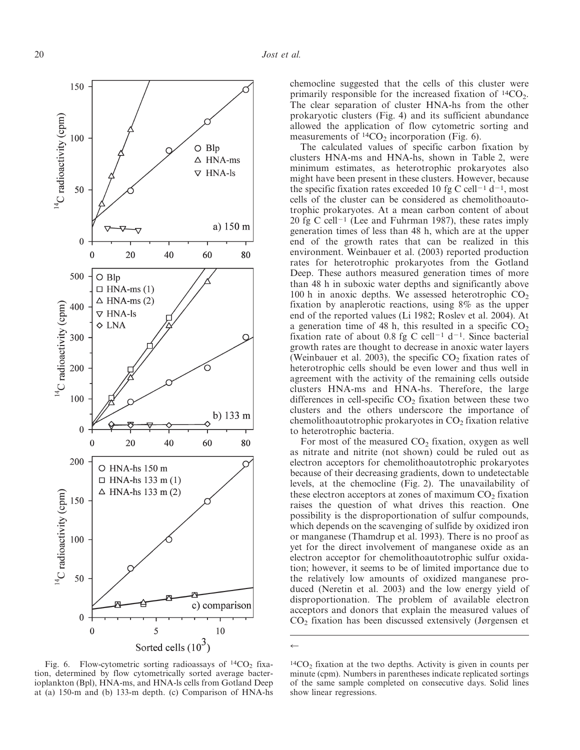

Fig. 6. Flow-cytometric sorting radioassays of  $14CO<sub>2</sub>$  fixation, determined by flow cytometrically sorted average bacterioplankton (Bpl), HNA-ms, and HNA-ls cells from Gotland Deep at (a) 150-m and (b) 133-m depth. (c) Comparison of HNA-hs

chemocline suggested that the cells of this cluster were primarily responsible for the increased fixation of  ${}^{14}CO_2$ . The clear separation of cluster HNA-hs from the other prokaryotic clusters (Fig. 4) and its sufficient abundance allowed the application of flow cytometric sorting and measurements of  $14CO<sub>2</sub>$  incorporation (Fig. 6).

The calculated values of specific carbon fixation by clusters HNA-ms and HNA-hs, shown in Table 2, were minimum estimates, as heterotrophic prokaryotes also might have been present in these clusters. However, because the specific fixation rates exceeded 10 fg C cell<sup>-1</sup> d<sup>-1</sup>, most cells of the cluster can be considered as chemolithoautotrophic prokaryotes. At a mean carbon content of about 20 fg C cell<sup>-1</sup> (Lee and Fuhrman 1987), these rates imply generation times of less than 48 h, which are at the upper end of the growth rates that can be realized in this environment. Weinbauer et al. (2003) reported production rates for heterotrophic prokaryotes from the Gotland Deep. These authors measured generation times of more than 48 h in suboxic water depths and significantly above 100 h in anoxic depths. We assessed heterotrophic  $CO<sub>2</sub>$ fixation by anaplerotic reactions, using 8% as the upper end of the reported values (Li 1982; Roslev et al. 2004). At a generation time of 48 h, this resulted in a specific  $CO<sub>2</sub>$ fixation rate of about 0.8 fg C cell<sup>-1</sup> d<sup>-1</sup>. Since bacterial growth rates are thought to decrease in anoxic water layers (Weinbauer et al. 2003), the specific  $CO<sub>2</sub>$  fixation rates of heterotrophic cells should be even lower and thus well in agreement with the activity of the remaining cells outside clusters HNA-ms and HNA-hs. Therefore, the large differences in cell-specific  $CO<sub>2</sub>$  fixation between these two clusters and the others underscore the importance of chemolithoautotrophic prokaryotes in  $CO<sub>2</sub>$  fixation relative to heterotrophic bacteria.

For most of the measured  $CO<sub>2</sub>$  fixation, oxygen as well as nitrate and nitrite (not shown) could be ruled out as electron acceptors for chemolithoautotrophic prokaryotes because of their decreasing gradients, down to undetectable levels, at the chemocline (Fig. 2). The unavailability of these electron acceptors at zones of maximum  $CO<sub>2</sub>$  fixation raises the question of what drives this reaction. One possibility is the disproportionation of sulfur compounds, which depends on the scavenging of sulfide by oxidized iron or manganese (Thamdrup et al. 1993). There is no proof as yet for the direct involvement of manganese oxide as an electron acceptor for chemolithoautotrophic sulfur oxidation; however, it seems to be of limited importance due to the relatively low amounts of oxidized manganese produced (Neretin et al. 2003) and the low energy yield of disproportionation. The problem of available electron acceptors and donors that explain the measured values of CO2 fixation has been discussed extensively (Jørgensen et

 $\leftarrow$ 

 $14CO<sub>2</sub>$  fixation at the two depths. Activity is given in counts per minute (cpm). Numbers in parentheses indicate replicated sortings of the same sample completed on consecutive days. Solid lines show linear regressions.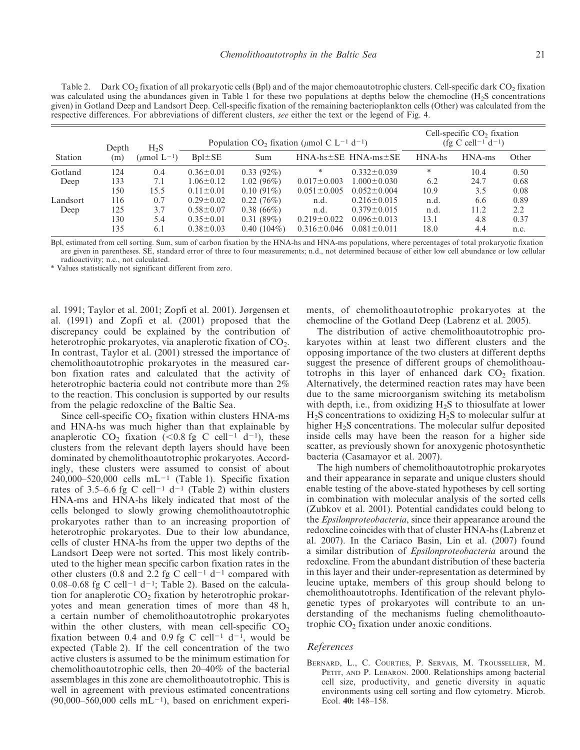Table 2. Dark  $CO<sub>2</sub>$  fixation of all prokaryotic cells (Bpl) and of the major chemoautotrophic clusters. Cell-specific dark  $CO<sub>2</sub>$  fixation was calculated using the abundances given in Table 1 for these two populations at depths below the chemocline  $(H_2S)$  concentrations given) in Gotland Deep and Landsort Deep. Cell-specific fixation of the remaining bacterioplankton cells (Other) was calculated from the respective differences. For abbreviations of different clusters, see either the text or the legend of Fig. 4.

|          | Depth | $H_2S$                        | Population CO <sub>2</sub> fixation ( $\mu$ mol C L <sup>-1</sup> d <sup>-1</sup> ) |               |                   |                                 | Cell-specific $CO2$ fixation<br>(fg C cell <sup>-1</sup> d <sup>-1</sup> ) |           |       |
|----------|-------|-------------------------------|-------------------------------------------------------------------------------------|---------------|-------------------|---------------------------------|----------------------------------------------------------------------------|-----------|-------|
| Station  | (m)   | ( $\mu$ mol L <sup>-1</sup> ) | $Bpl \pm SE$                                                                        | Sum           |                   | $HNA-hs \pm SE$ $HNA-ms \pm SE$ | HNA-hs                                                                     | $HNA$ -ms | Other |
| Gotland  | 124   | 0.4                           | $0.36 \pm 0.01$                                                                     | $0.33(92\%)$  | $\ast$            | $0.332 \pm 0.039$               | *                                                                          | 10.4      | 0.50  |
| Deep     | 133   | 7.1                           | $1.06 \pm 0.12$                                                                     | $1.02(96\%)$  | $0.017 \pm 0.003$ | $1.000 \pm 0.030$               | 6.2                                                                        | 24.7      | 0.68  |
|          | 150   | 15.5                          | $0.11 \pm 0.01$                                                                     | $0.10(91\%)$  | $0.051 \pm 0.005$ | $0.052 \pm 0.004$               | 10.9                                                                       | 3.5       | 0.08  |
| Landsort | 116   | 0.7                           | $0.29 \pm 0.02$                                                                     | 0.22(76%)     | n.d.              | $0.216 \pm 0.015$               | n.d.                                                                       | 6.6       | 0.89  |
| Deep     | 125   | 3.7                           | $0.58 \pm 0.07$                                                                     | $0.38(66\%)$  | n.d.              | $0.379 \pm 0.015$               | n.d.                                                                       | 11.2      | 2.2   |
|          | 130   | 5.4                           | $0.35 \pm 0.01$                                                                     | 0.31(89%)     | $0.219 \pm 0.022$ | $0.096 \pm 0.013$               | 13.1                                                                       | 4.8       | 0.37  |
|          | 135   | 6.1                           | $0.38 \pm 0.03$                                                                     | $0.40(104\%)$ | $0.316 \pm 0.046$ | $0.081 \pm 0.011$               | 18.0                                                                       | 4.4       | n.c.  |

Bpl, estimated from cell sorting. Sum, sum of carbon fixation by the HNA-hs and HNA-ms populations, where percentages of total prokaryotic fixation are given in parentheses. SE, standard error of three to four measurements; n.d., not determined because of either low cell abundance or low cellular radioactivity; n.c., not calculated.

\* Values statistically not significant different from zero.

al. 1991; Taylor et al. 2001; Zopfi et al. 2001). Jørgensen et al. (1991) and Zopfi et al. (2001) proposed that the discrepancy could be explained by the contribution of heterotrophic prokaryotes, via anaplerotic fixation of  $CO<sub>2</sub>$ . In contrast, Taylor et al. (2001) stressed the importance of chemolithoautotrophic prokaryotes in the measured carbon fixation rates and calculated that the activity of heterotrophic bacteria could not contribute more than 2% to the reaction. This conclusion is supported by our results from the pelagic redoxcline of the Baltic Sea.

Since cell-specific  $CO<sub>2</sub>$  fixation within clusters HNA-ms and HNA-hs was much higher than that explainable by anaplerotic CO<sub>2</sub> fixation (<0.8 fg C cell<sup>-1</sup> d<sup>-1</sup>), these clusters from the relevant depth layers should have been dominated by chemolithoautotrophic prokaryotes. Accordingly, these clusters were assumed to consist of about 240,000–520,000 cells  $mL^{-1}$  (Table 1). Specific fixation rates of 3.5–6.6 fg C cell<sup>-1</sup> d<sup>-1</sup> (Table 2) within clusters HNA-ms and HNA-hs likely indicated that most of the cells belonged to slowly growing chemolithoautotrophic prokaryotes rather than to an increasing proportion of heterotrophic prokaryotes. Due to their low abundance, cells of cluster HNA-hs from the upper two depths of the Landsort Deep were not sorted. This most likely contributed to the higher mean specific carbon fixation rates in the other clusters (0.8 and 2.2 fg C cell<sup>-1</sup> d<sup>-1</sup> compared with 0.08–0.68 fg C cell<sup>-1</sup> d<sup>-1</sup>; Table 2). Based on the calculation for anaplerotic  $CO<sub>2</sub>$  fixation by heterotrophic prokaryotes and mean generation times of more than 48 h, a certain number of chemolithoautotrophic prokaryotes within the other clusters, with mean cell-specific  $CO<sub>2</sub>$ fixation between 0.4 and 0.9 fg C cell<sup>-1</sup> d<sup>-1</sup>, would be expected (Table 2). If the cell concentration of the two active clusters is assumed to be the minimum estimation for chemolithoautotrophic cells, then 20–40% of the bacterial assemblages in this zone are chemolithoautotrophic. This is well in agreement with previous estimated concentrations  $(90,000–560,000$  cells mL<sup>-1</sup>), based on enrichment experi-

ments, of chemolithoautotrophic prokaryotes at the chemocline of the Gotland Deep (Labrenz et al. 2005).

The distribution of active chemolithoautotrophic prokaryotes within at least two different clusters and the opposing importance of the two clusters at different depths suggest the presence of different groups of chemolithoautotrophs in this layer of enhanced dark  $CO<sub>2</sub>$  fixation. Alternatively, the determined reaction rates may have been due to the same microorganism switching its metabolism with depth, i.e., from oxidizing  $H_2S$  to thiosulfate at lower  $H<sub>2</sub>S$  concentrations to oxidizing  $H<sub>2</sub>S$  to molecular sulfur at higher  $H_2S$  concentrations. The molecular sulfur deposited inside cells may have been the reason for a higher side scatter, as previously shown for anoxygenic photosynthetic bacteria (Casamayor et al. 2007).

The high numbers of chemolithoautotrophic prokaryotes and their appearance in separate and unique clusters should enable testing of the above-stated hypotheses by cell sorting in combination with molecular analysis of the sorted cells (Zubkov et al. 2001). Potential candidates could belong to the Epsilonproteobacteria, since their appearance around the redoxcline coincides with that of cluster HNA-hs (Labrenz et al. 2007). In the Cariaco Basin, Lin et al. (2007) found a similar distribution of Epsilonproteobacteria around the redoxcline. From the abundant distribution of these bacteria in this layer and their under-representation as determined by leucine uptake, members of this group should belong to chemolithoautotrophs. Identification of the relevant phylogenetic types of prokaryotes will contribute to an understanding of the mechanisms fueling chemolithoautotrophic  $CO<sub>2</sub>$  fixation under anoxic conditions.

#### References

BERNARD, L., C. COURTIES, P. SERVAIS, M. TROUSSELLIER, M. PETIT, AND P. LEBARON. 2000. Relationships among bacterial cell size, productivity, and genetic diversity in aquatic environments using cell sorting and flow cytometry. Microb. Ecol. 40: 148–158.